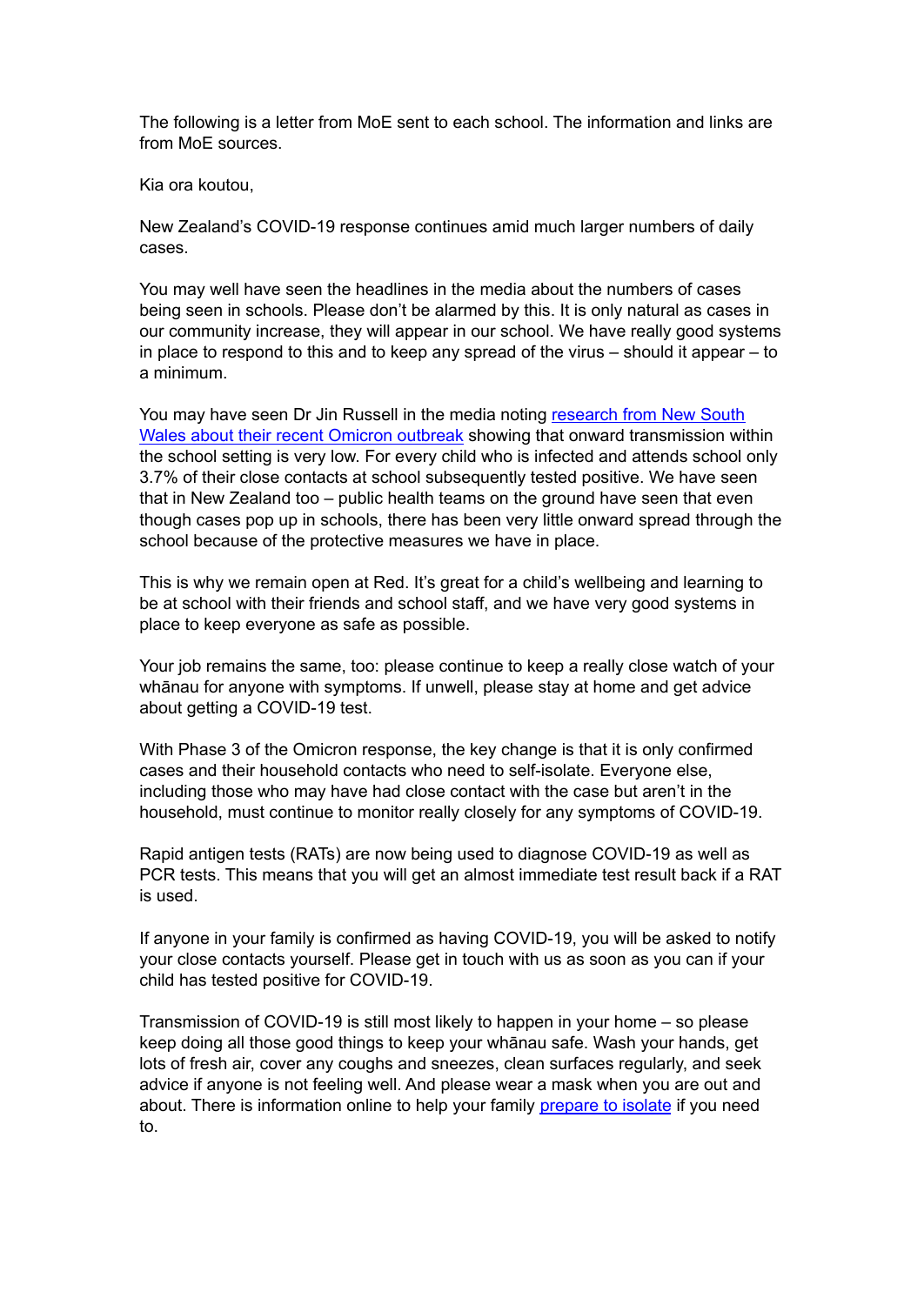The following is a letter from MoE sent to each school. The information and links are from MoE sources.

Kia ora koutou,

New Zealand's COVID-19 response continues amid much larger numbers of daily cases.

You may well have seen the headlines in the media about the numbers of cases being seen in schools. Please don't be alarmed by this. It is only natural as cases in our community increase, they will appear in our school. We have really good systems in place to respond to this and to keep any spread of the virus – should it appear – to a minimum.

You may have seen Dr Jin Russell in the media noting [research](https://www.ncirs.org.au/sites/default/files/2022-02/NCIRS_NSW_Schools_COVID_Summary_Term_4_2021_Report%20-%2018-02-2022_FINAL_1.pdf) from New South Wales about their recent Omicron [outbreak](https://www.ncirs.org.au/sites/default/files/2022-02/NCIRS_NSW_Schools_COVID_Summary_Term_4_2021_Report%20-%2018-02-2022_FINAL_1.pdf) showing that onward transmission within the school setting is very low. For every child who is infected and attends school only 3.7% of their close contacts at school subsequently tested positive. We have seen that in New Zealand too – public health teams on the ground have seen that even though cases pop up in schools, there has been very little onward spread through the school because of the protective measures we have in place.

This is why we remain open at Red. It's great for a child's wellbeing and learning to be at school with their friends and school staff, and we have very good systems in place to keep everyone as safe as possible.

Your job remains the same, too: please continue to keep a really close watch of your whānau for anyone with symptoms. If unwell, please stay at home and get advice about getting a COVID-19 test.

With Phase 3 of the Omicron response, the key change is that it is only confirmed cases and their household contacts who need to self-isolate. Everyone else, including those who may have had close contact with the case but aren't in the household, must continue to monitor really closely for any symptoms of COVID-19.

Rapid antigen tests (RATs) are now being used to diagnose COVID-19 as well as PCR tests. This means that you will get an almost immediate test result back if a RAT is used.

If anyone in your family is confirmed as having COVID-19, you will be asked to notify your close contacts yourself. Please get in touch with us as soon as you can if your child has tested positive for COVID-19.

Transmission of COVID-19 is still most likely to happen in your home – so please keep doing all those good things to keep your whānau safe. Wash your hands, get lots of fresh air, cover any coughs and sneezes, clean surfaces regularly, and seek advice if anyone is not feeling well. And please wear a mask when you are out and about. There is information online to help your family [prepare](https://covid19.govt.nz/prepare-and-stay-safe/preparing-to-self-isolate/) to isolate if you need to.